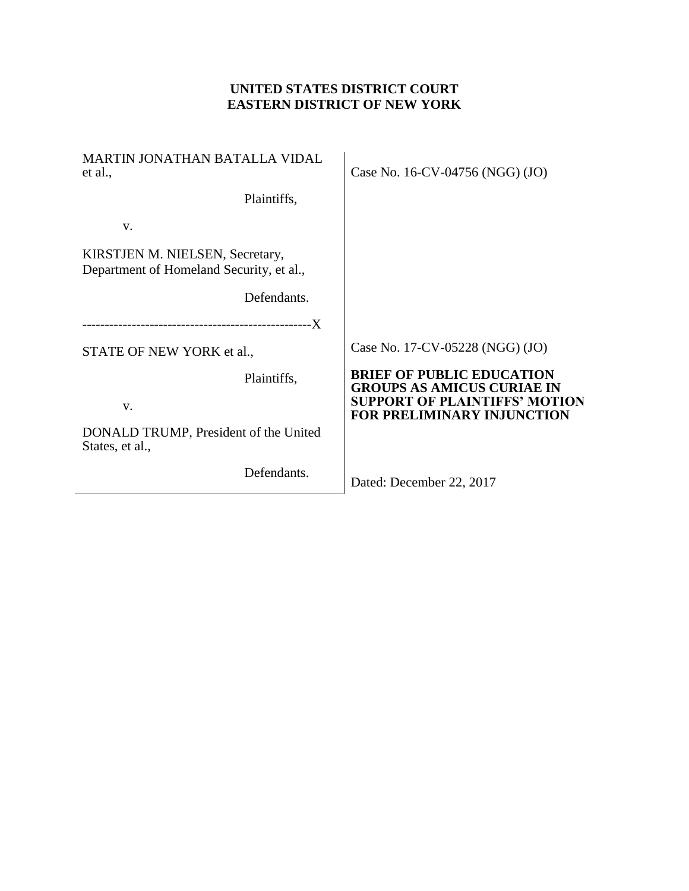## **UNITED STATES DISTRICT COURT EASTERN DISTRICT OF NEW YORK**

| <b>MARTIN JONATHAN BATALLA VIDAL</b><br>et al.,                             | Case No. 16-CV-04756 (NGG) (JO)                                       |
|-----------------------------------------------------------------------------|-----------------------------------------------------------------------|
| Plaintiffs,                                                                 |                                                                       |
| V.                                                                          |                                                                       |
| KIRSTJEN M. NIELSEN, Secretary,<br>Department of Homeland Security, et al., |                                                                       |
| Defendants.                                                                 |                                                                       |
|                                                                             |                                                                       |
| STATE OF NEW YORK et al.,                                                   | Case No. 17-CV-05228 (NGG) (JO)                                       |
| Plaintiffs,                                                                 | <b>BRIEF OF PUBLIC EDUCATION</b><br><b>GROUPS AS AMICUS CURIAE IN</b> |
| V.                                                                          | <b>SUPPORT OF PLAINTIFFS' MOTION</b><br>FOR PRELIMINARY INJUNCTION    |
| DONALD TRUMP, President of the United<br>States, et al.,                    |                                                                       |
| Defendants.                                                                 | Dated: December 22, 2017                                              |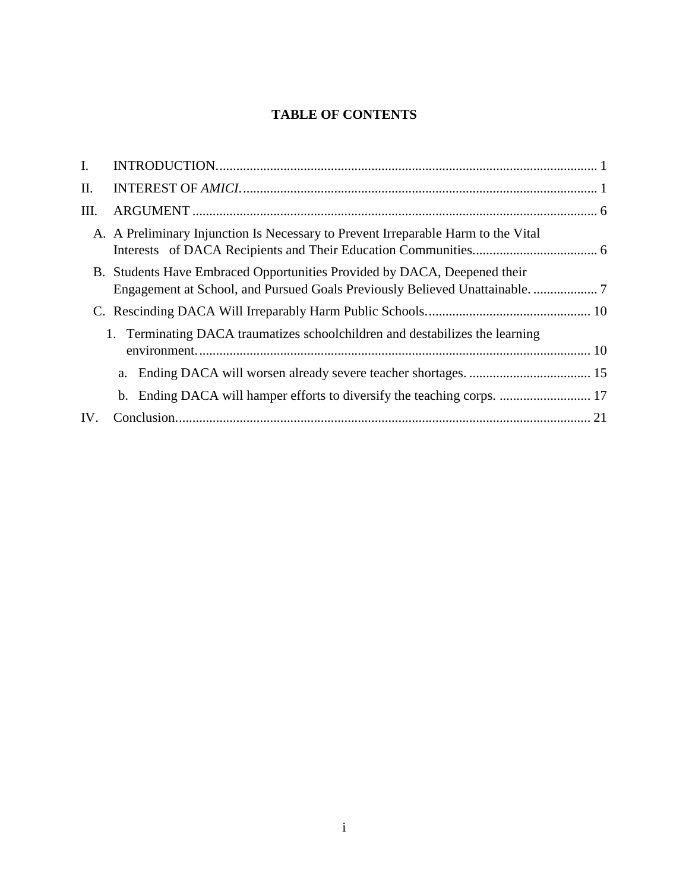# **TABLE OF CONTENTS**

| I.  |                                                                                   |  |
|-----|-----------------------------------------------------------------------------------|--|
| Π.  |                                                                                   |  |
| Ш.  |                                                                                   |  |
|     | A. A Preliminary Injunction Is Necessary to Prevent Irreparable Harm to the Vital |  |
|     | B. Students Have Embraced Opportunities Provided by DACA, Deepened their          |  |
|     |                                                                                   |  |
|     | 1. Terminating DACA traumatizes schoolchildren and destabilizes the learning      |  |
|     |                                                                                   |  |
|     |                                                                                   |  |
| IV. |                                                                                   |  |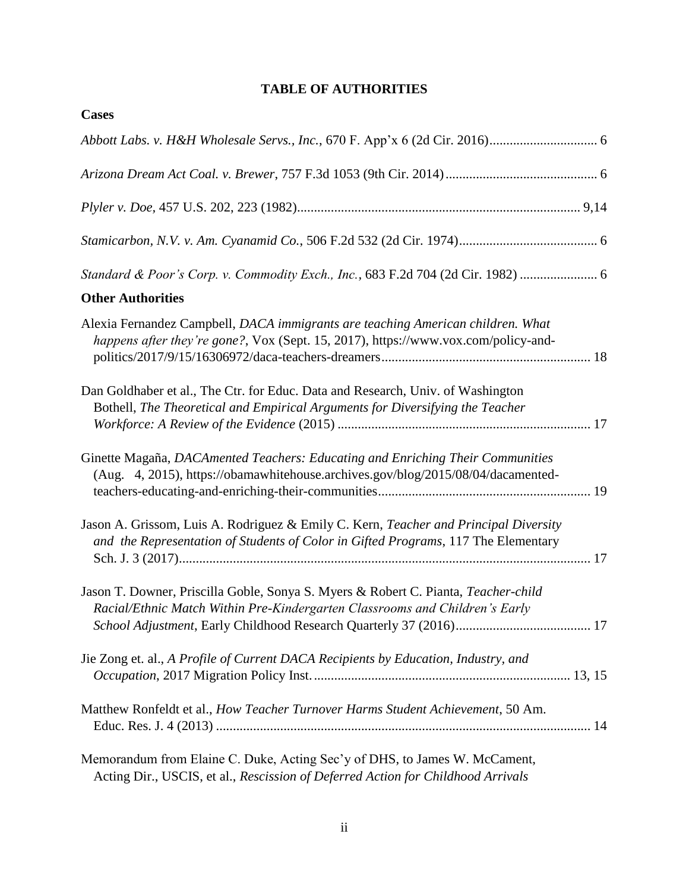# **TABLE OF AUTHORITIES**

| <b>Cases</b>                                                                                                                                                               |
|----------------------------------------------------------------------------------------------------------------------------------------------------------------------------|
|                                                                                                                                                                            |
|                                                                                                                                                                            |
|                                                                                                                                                                            |
|                                                                                                                                                                            |
| Standard & Poor's Corp. v. Commodity Exch., Inc., 683 F.2d 704 (2d Cir. 1982)  6                                                                                           |
| <b>Other Authorities</b>                                                                                                                                                   |
| Alexia Fernandez Campbell, DACA immigrants are teaching American children. What<br>happens after they're gone?, Vox (Sept. 15, 2017), https://www.vox.com/policy-and-      |
| Dan Goldhaber et al., The Ctr. for Educ. Data and Research, Univ. of Washington<br>Bothell, The Theoretical and Empirical Arguments for Diversifying the Teacher           |
| Ginette Magaña, DACAmented Teachers: Educating and Enriching Their Communities<br>(Aug. 4, 2015), https://obamawhitehouse.archives.gov/blog/2015/08/04/dacamented-         |
| Jason A. Grissom, Luis A. Rodriguez & Emily C. Kern, Teacher and Principal Diversity<br>and the Representation of Students of Color in Gifted Programs, 117 The Elementary |
| Jason T. Downer, Priscilla Goble, Sonya S. Myers & Robert C. Pianta, Teacher-child<br>Racial/Ethnic Match Within Pre-Kindergarten Classrooms and Children's Early          |
| Jie Zong et. al., A Profile of Current DACA Recipients by Education, Industry, and                                                                                         |
| Matthew Ronfeldt et al., How Teacher Turnover Harms Student Achievement, 50 Am.                                                                                            |
| Memorandum from Elaine C. Duke, Acting Sec'y of DHS, to James W. McCament,<br>Acting Dir., USCIS, et al., Rescission of Deferred Action for Childhood Arrivals             |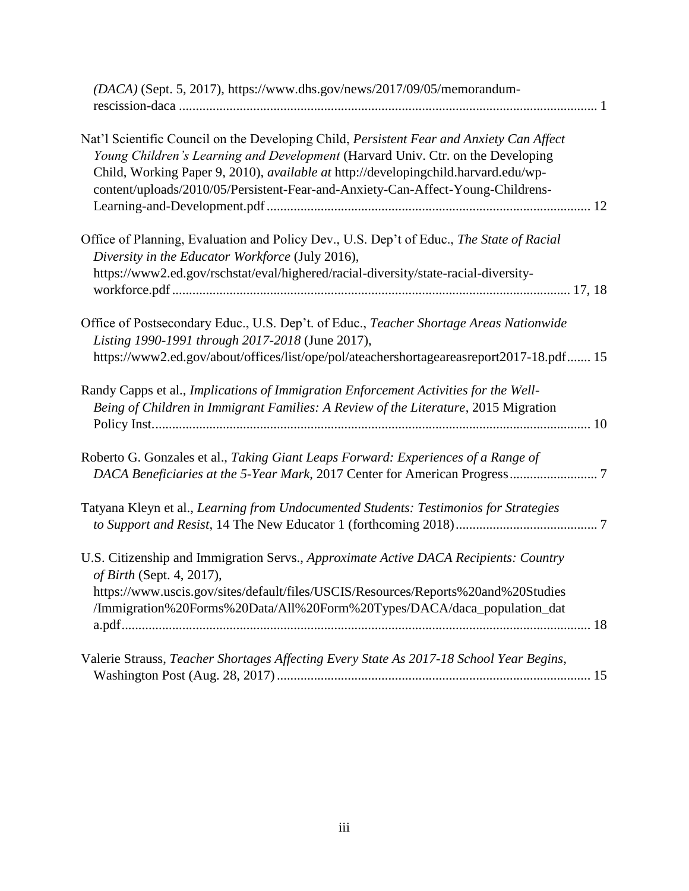| (DACA) (Sept. 5, 2017), https://www.dhs.gov/news/2017/09/05/memorandum-                                                                                                                                                                                                                                                                              |
|------------------------------------------------------------------------------------------------------------------------------------------------------------------------------------------------------------------------------------------------------------------------------------------------------------------------------------------------------|
| Nat'l Scientific Council on the Developing Child, Persistent Fear and Anxiety Can Affect<br>Young Children's Learning and Development (Harvard Univ. Ctr. on the Developing<br>Child, Working Paper 9, 2010), available at http://developingchild.harvard.edu/wp-<br>content/uploads/2010/05/Persistent-Fear-and-Anxiety-Can-Affect-Young-Childrens- |
| Office of Planning, Evaluation and Policy Dev., U.S. Dep't of Educ., The State of Racial<br>Diversity in the Educator Workforce (July 2016),<br>https://www2.ed.gov/rschstat/eval/highered/racial-diversity/state-racial-diversity-                                                                                                                  |
|                                                                                                                                                                                                                                                                                                                                                      |
| Office of Postsecondary Educ., U.S. Dep't. of Educ., Teacher Shortage Areas Nationwide<br>Listing 1990-1991 through 2017-2018 (June 2017),                                                                                                                                                                                                           |
| https://www2.ed.gov/about/offices/list/ope/pol/ateachershortageareasreport2017-18.pdf 15                                                                                                                                                                                                                                                             |
| Randy Capps et al., Implications of Immigration Enforcement Activities for the Well-<br>Being of Children in Immigrant Families: A Review of the Literature, 2015 Migration                                                                                                                                                                          |
| Roberto G. Gonzales et al., Taking Giant Leaps Forward: Experiences of a Range of                                                                                                                                                                                                                                                                    |
| Tatyana Kleyn et al., Learning from Undocumented Students: Testimonios for Strategies                                                                                                                                                                                                                                                                |
| U.S. Citizenship and Immigration Servs., Approximate Active DACA Recipients: Country<br>of Birth (Sept. 4, 2017),                                                                                                                                                                                                                                    |
| https://www.uscis.gov/sites/default/files/USCIS/Resources/Reports%20and%20Studies<br>/Immigration%20Forms%20Data/All%20Form%20Types/DACA/daca_population_dat                                                                                                                                                                                         |
| Valerie Strauss, Teacher Shortages Affecting Every State As 2017-18 School Year Begins,                                                                                                                                                                                                                                                              |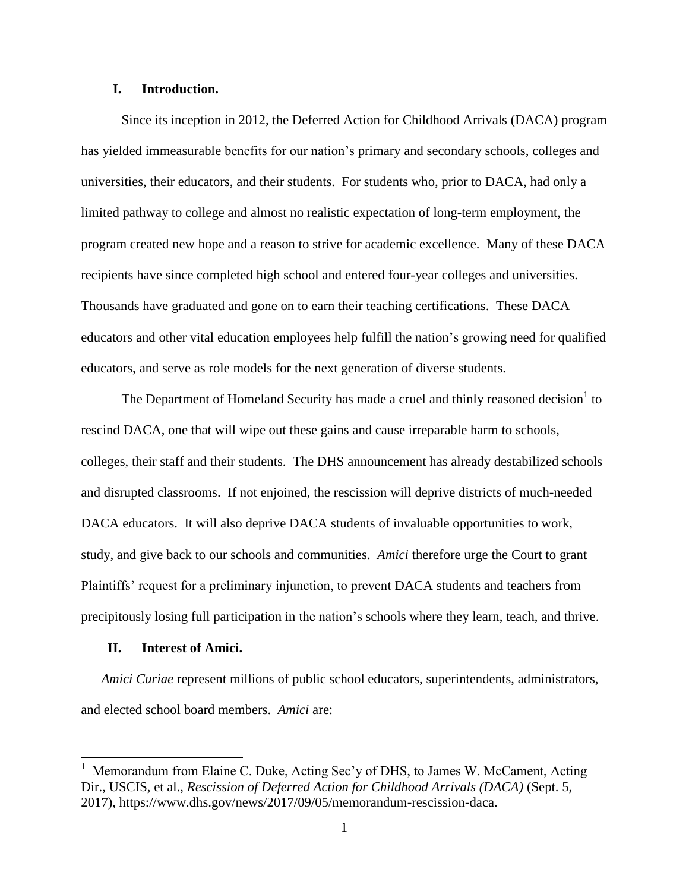## <span id="page-4-0"></span>**I. Introduction.**

Since its inception in 2012, the Deferred Action for Childhood Arrivals (DACA) program has yielded immeasurable benefits for our nation's primary and secondary schools, colleges and universities, their educators, and their students. For students who, prior to DACA, had only a limited pathway to college and almost no realistic expectation of long-term employment, the program created new hope and a reason to strive for academic excellence. Many of these DACA recipients have since completed high school and entered four-year colleges and universities. Thousands have graduated and gone on to earn their teaching certifications. These DACA educators and other vital education employees help fulfill the nation's growing need for qualified educators, and serve as role models for the next generation of diverse students.

The Department of Homeland Security has made a cruel and thinly reasoned decision<sup>1</sup> to rescind DACA, one that will wipe out these gains and cause irreparable harm to schools, colleges, their staff and their students. The DHS announcement has already destabilized schools and disrupted classrooms. If not enjoined, the rescission will deprive districts of much-needed DACA educators. It will also deprive DACA students of invaluable opportunities to work, study, and give back to our schools and communities. *Amici* therefore urge the Court to grant Plaintiffs' request for a preliminary injunction, to prevent DACA students and teachers from precipitously losing full participation in the nation's schools where they learn, teach, and thrive.

### <span id="page-4-1"></span>**II. Interest of Amici.**

 $\overline{\phantom{a}}$ 

*Amici Curiae* represent millions of public school educators, superintendents, administrators, and elected school board members. *Amici* are:

<sup>&</sup>lt;sup>1</sup> Memorandum from Elaine C. Duke, Acting Sec'y of DHS, to James W. McCament, Acting Dir., USCIS, et al., *Rescission of Deferred Action for Childhood Arrivals (DACA)* (Sept. 5, 2017), https://www.dhs.gov/news/2017/09/05/memorandum-rescission-daca.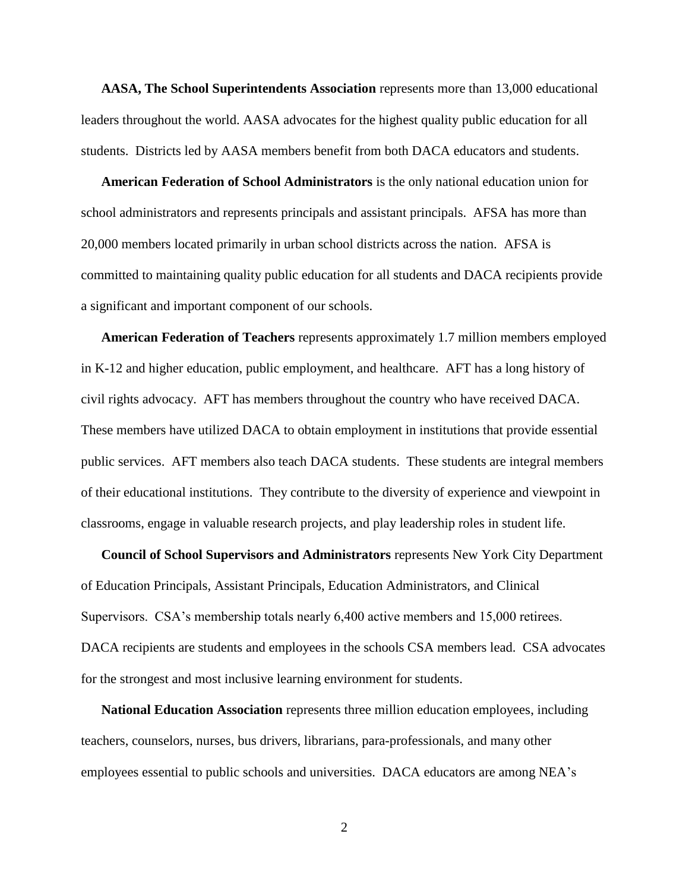**AASA, The School Superintendents Association** represents more than 13,000 educational leaders throughout the world. AASA advocates for the highest quality public education for all students. Districts led by AASA members benefit from both DACA educators and students.

**American Federation of School Administrators** is the only national education union for school administrators and represents principals and assistant principals. AFSA has more than 20,000 members located primarily in urban school districts across the nation. AFSA is committed to maintaining quality public education for all students and DACA recipients provide a significant and important component of our schools.

**American Federation of Teachers** represents approximately 1.7 million members employed in K-12 and higher education, public employment, and healthcare. AFT has a long history of civil rights advocacy. AFT has members throughout the country who have received DACA. These members have utilized DACA to obtain employment in institutions that provide essential public services. AFT members also teach DACA students. These students are integral members of their educational institutions. They contribute to the diversity of experience and viewpoint in classrooms, engage in valuable research projects, and play leadership roles in student life.

**Council of School Supervisors and Administrators** represents New York City Department of Education Principals, Assistant Principals, Education Administrators, and Clinical Supervisors. CSA's membership totals nearly 6,400 active members and 15,000 retirees. DACA recipients are students and employees in the schools CSA members lead. CSA advocates for the strongest and most inclusive learning environment for students.

**National Education Association** represents three million education employees, including teachers, counselors, nurses, bus drivers, librarians, para-professionals, and many other employees essential to public schools and universities. DACA educators are among NEA's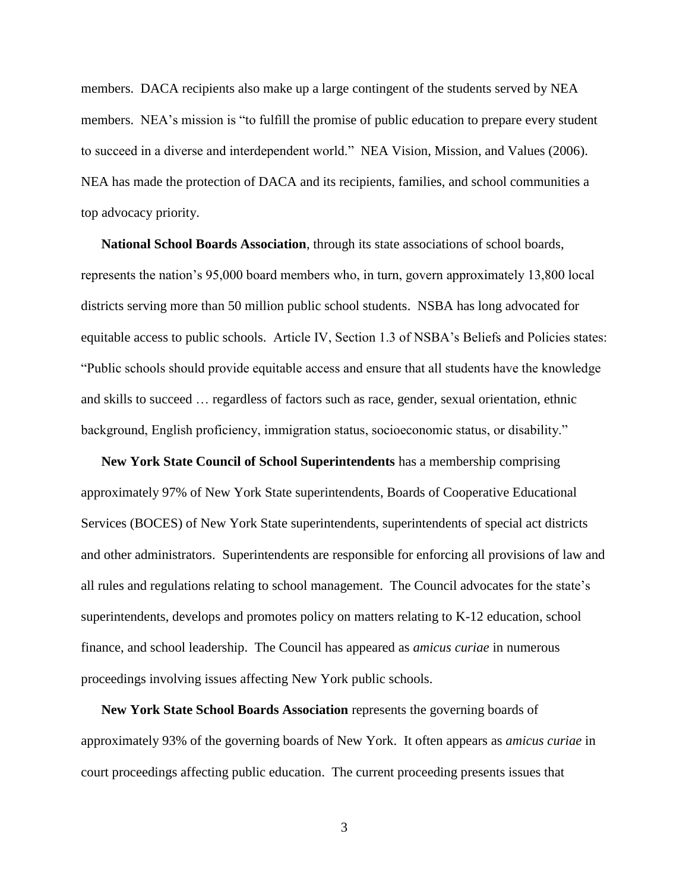members. DACA recipients also make up a large contingent of the students served by NEA members. NEA's mission is "to fulfill the promise of public education to prepare every student to succeed in a diverse and interdependent world." NEA Vision, Mission, and Values (2006). NEA has made the protection of DACA and its recipients, families, and school communities a top advocacy priority.

**National School Boards Association**, through its state associations of school boards, represents the nation's 95,000 board members who, in turn, govern approximately 13,800 local districts serving more than 50 million public school students. NSBA has long advocated for equitable access to public schools. Article IV, Section 1.3 of NSBA's Beliefs and Policies states: ―Public schools should provide equitable access and ensure that all students have the knowledge and skills to succeed … regardless of factors such as race, gender, sexual orientation, ethnic background, English proficiency, immigration status, socioeconomic status, or disability."

**New York State Council of School Superintendents** has a membership comprising approximately 97% of New York State superintendents, Boards of Cooperative Educational Services (BOCES) of New York State superintendents, superintendents of special act districts and other administrators. Superintendents are responsible for enforcing all provisions of law and all rules and regulations relating to school management. The Council advocates for the state's superintendents, develops and promotes policy on matters relating to K-12 education, school finance, and school leadership. The Council has appeared as *amicus curiae* in numerous proceedings involving issues affecting New York public schools.

**New York State School Boards Association** represents the governing boards of approximately 93% of the governing boards of New York. It often appears as *amicus curiae* in court proceedings affecting public education. The current proceeding presents issues that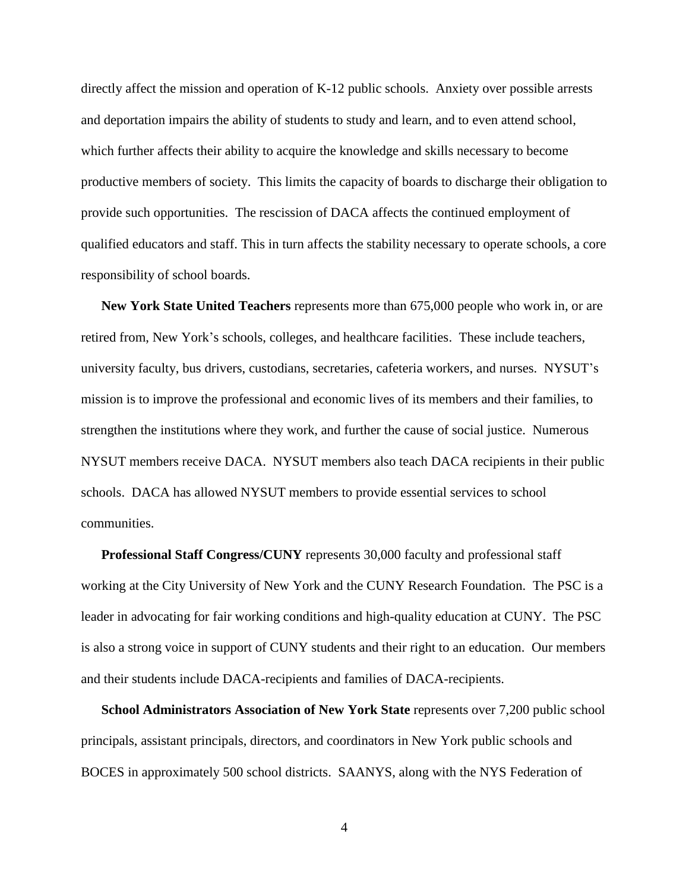directly affect the mission and operation of K-12 public schools. Anxiety over possible arrests and deportation impairs the ability of students to study and learn, and to even attend school, which further affects their ability to acquire the knowledge and skills necessary to become productive members of society. This limits the capacity of boards to discharge their obligation to provide such opportunities. The rescission of DACA affects the continued employment of qualified educators and staff. This in turn affects the stability necessary to operate schools, a core responsibility of school boards.

**New York State United Teachers** represents more than 675,000 people who work in, or are retired from, New York's schools, colleges, and healthcare facilities. These include teachers, university faculty, bus drivers, custodians, secretaries, cafeteria workers, and nurses. NYSUT's mission is to improve the professional and economic lives of its members and their families, to strengthen the institutions where they work, and further the cause of social justice. Numerous NYSUT members receive DACA. NYSUT members also teach DACA recipients in their public schools. DACA has allowed NYSUT members to provide essential services to school communities.

**Professional Staff Congress/CUNY** represents 30,000 faculty and professional staff working at the City University of New York and the CUNY Research Foundation. The PSC is a leader in advocating for fair working conditions and high-quality education at CUNY. The PSC is also a strong voice in support of CUNY students and their right to an education. Our members and their students include DACA-recipients and families of DACA-recipients.

**School Administrators Association of New York State** represents over 7,200 public school principals, assistant principals, directors, and coordinators in New York public schools and BOCES in approximately 500 school districts. SAANYS, along with the NYS Federation of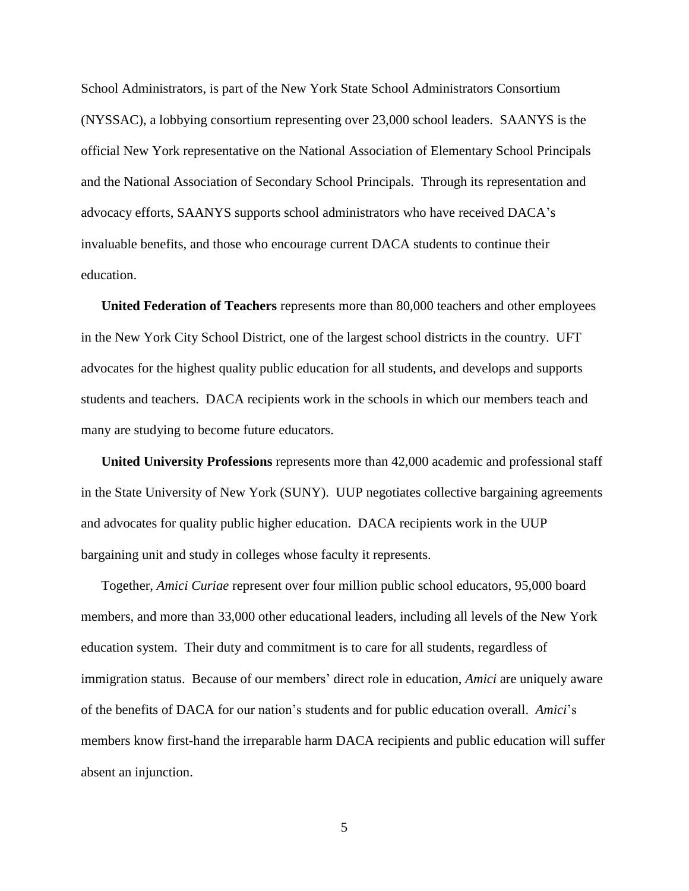School Administrators, is part of the New York State School Administrators Consortium (NYSSAC), a lobbying consortium representing over 23,000 school leaders. SAANYS is the official New York representative on the National Association of Elementary School Principals and the National Association of Secondary School Principals. Through its representation and advocacy efforts, SAANYS supports school administrators who have received DACA's invaluable benefits, and those who encourage current DACA students to continue their education.

**United Federation of Teachers** represents more than 80,000 teachers and other employees in the New York City School District, one of the largest school districts in the country. UFT advocates for the highest quality public education for all students, and develops and supports students and teachers. DACA recipients work in the schools in which our members teach and many are studying to become future educators.

**United University Professions** represents more than 42,000 academic and professional staff in the State University of New York (SUNY). UUP negotiates collective bargaining agreements and advocates for quality public higher education. DACA recipients work in the UUP bargaining unit and study in colleges whose faculty it represents.

Together, *Amici Curiae* represent over four million public school educators, 95,000 board members, and more than 33,000 other educational leaders, including all levels of the New York education system. Their duty and commitment is to care for all students, regardless of immigration status. Because of our members' direct role in education, *Amici* are uniquely aware of the benefits of DACA for our nation's students and for public education overall. *Amici*'s members know first-hand the irreparable harm DACA recipients and public education will suffer absent an injunction.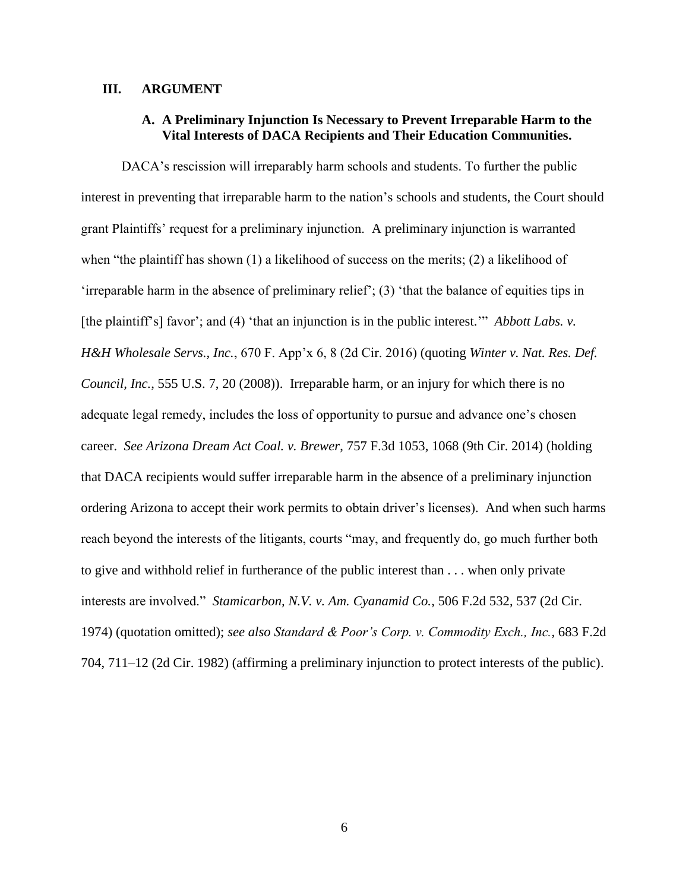### <span id="page-9-1"></span><span id="page-9-0"></span>**III. ARGUMENT**

## **A. A Preliminary Injunction Is Necessary to Prevent Irreparable Harm to the Vital Interests of DACA Recipients and Their Education Communities.**

DACA's rescission will irreparably harm schools and students. To further the public interest in preventing that irreparable harm to the nation's schools and students, the Court should grant Plaintiffs' request for a preliminary injunction. A preliminary injunction is warranted when "the plaintiff has shown  $(1)$  a likelihood of success on the merits;  $(2)$  a likelihood of 'irreparable harm in the absence of preliminary relief';  $(3)$  'that the balance of equities tips in [the plaintiff's] favor'; and (4) 'that an injunction is in the public interest.'" *Abbott Labs. v. H&H Wholesale Servs., Inc.*, 670 F. App'x 6, 8 (2d Cir. 2016) (quoting *Winter v. Nat. Res. Def. Council, Inc.*, 555 U.S. 7, 20 (2008)). Irreparable harm, or an injury for which there is no adequate legal remedy, includes the loss of opportunity to pursue and advance one's chosen career. *See Arizona Dream Act Coal. v. Brewer*, 757 F.3d 1053, 1068 (9th Cir. 2014) (holding that DACA recipients would suffer irreparable harm in the absence of a preliminary injunction ordering Arizona to accept their work permits to obtain driver's licenses). And when such harms reach beyond the interests of the litigants, courts "may, and frequently do, go much further both to give and withhold relief in furtherance of the public interest than . . . when only private interests are involved." *Stamicarbon, N.V. v. Am. Cyanamid Co.*, 506 F.2d 532, 537 (2d Cir. 1974) (quotation omitted); *see also Standard & Poor's Corp. v. Commodity Exch., Inc.,* 683 F.2d 704, 711–12 (2d Cir. 1982) (affirming a preliminary injunction to protect interests of the public).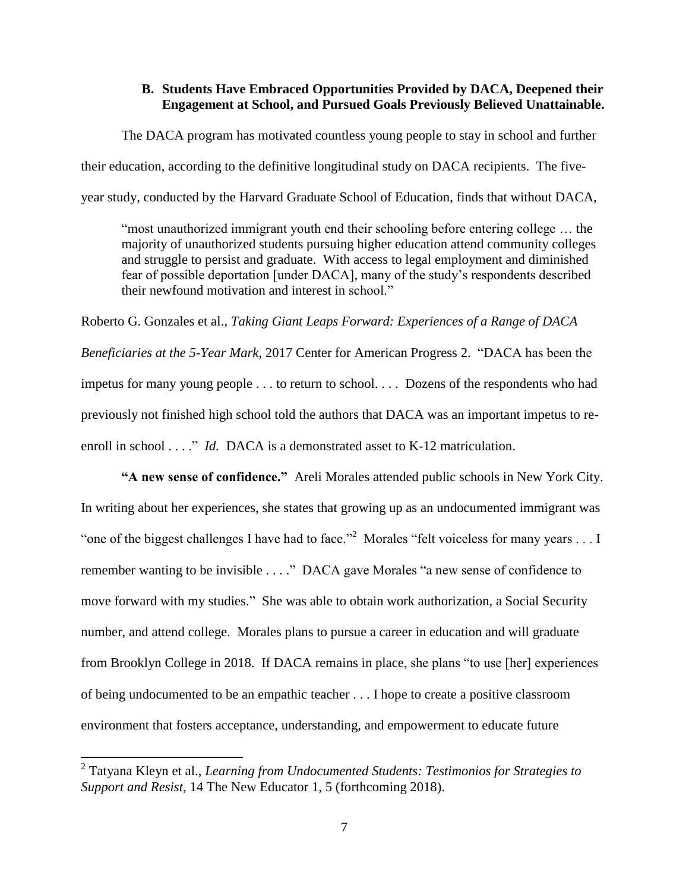## **B. Students Have Embraced Opportunities Provided by DACA, Deepened their Engagement at School, and Pursued Goals Previously Believed Unattainable.**

<span id="page-10-0"></span>The DACA program has motivated countless young people to stay in school and further their education, according to the definitive longitudinal study on DACA recipients. The fiveyear study, conducted by the Harvard Graduate School of Education, finds that without DACA,

―most unauthorized immigrant youth end their schooling before entering college … the majority of unauthorized students pursuing higher education attend community colleges and struggle to persist and graduate. With access to legal employment and diminished fear of possible deportation [under DACA], many of the study's respondents described their newfound motivation and interest in school."

Roberto G. Gonzales et al., *Taking Giant Leaps Forward: Experiences of a Range of DACA Beneficiaries at the 5-Year Mark*, 2017 Center for American Progress 2. "DACA has been the impetus for many young people . . . to return to school. . . . Dozens of the respondents who had previously not finished high school told the authors that DACA was an important impetus to reenroll in school  $\ldots$ ." *Id.* DACA is a demonstrated asset to K-12 matriculation.

**"A new sense of confidence."** Areli Morales attended public schools in New York City. In writing about her experiences, she states that growing up as an undocumented immigrant was "one of the biggest challenges I have had to face."<sup>2</sup> Morales "felt voiceless for many years . . . I remember wanting to be invisible . . . ." DACA gave Morales "a new sense of confidence to move forward with my studies." She was able to obtain work authorization, a Social Security number, and attend college. Morales plans to pursue a career in education and will graduate from Brooklyn College in 2018. If DACA remains in place, she plans "to use [her] experiences of being undocumented to be an empathic teacher . . . I hope to create a positive classroom environment that fosters acceptance, understanding, and empowerment to educate future

 2 Tatyana Kleyn et al., *Learning from Undocumented Students: Testimonios for Strategies to Support and Resist*, 14 The New Educator 1, 5 (forthcoming 2018).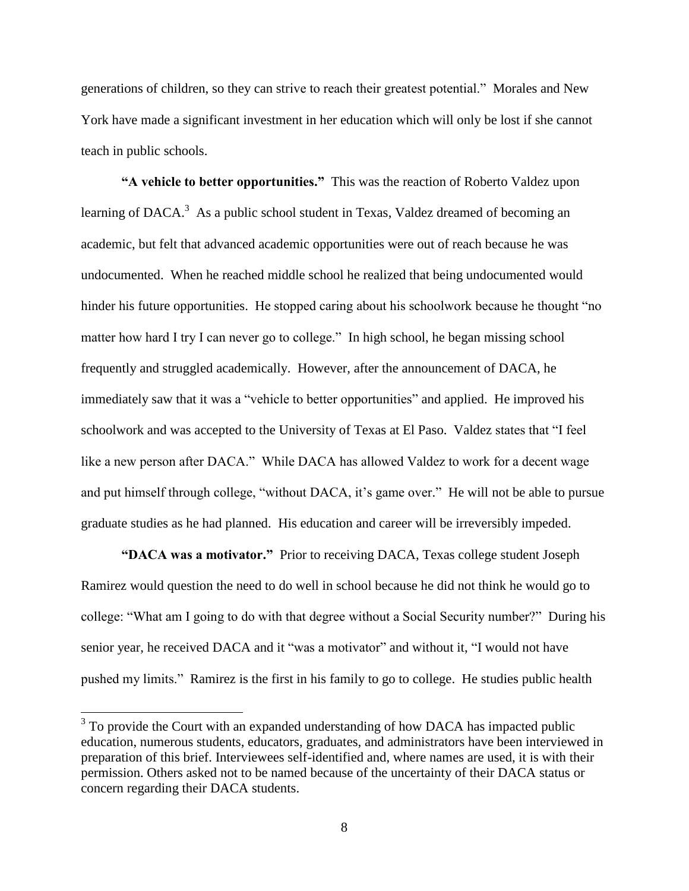generations of children, so they can strive to reach their greatest potential." Morales and New York have made a significant investment in her education which will only be lost if she cannot teach in public schools.

**"A vehicle to better opportunities."** This was the reaction of Roberto Valdez upon learning of DACA.<sup>3</sup> As a public school student in Texas, Valdez dreamed of becoming an academic, but felt that advanced academic opportunities were out of reach because he was undocumented. When he reached middle school he realized that being undocumented would hinder his future opportunities. He stopped caring about his schoolwork because he thought "no matter how hard I try I can never go to college." In high school, he began missing school frequently and struggled academically. However, after the announcement of DACA, he immediately saw that it was a "vehicle to better opportunities" and applied. He improved his schoolwork and was accepted to the University of Texas at El Paso. Valdez states that "I feel like a new person after DACA." While DACA has allowed Valdez to work for a decent wage and put himself through college, "without DACA, it's game over." He will not be able to pursue graduate studies as he had planned. His education and career will be irreversibly impeded.

**"DACA was a motivator."** Prior to receiving DACA, Texas college student Joseph Ramirez would question the need to do well in school because he did not think he would go to college: "What am I going to do with that degree without a Social Security number?" During his senior year, he received DACA and it "was a motivator" and without it, "I would not have pushed my limits." Ramirez is the first in his family to go to college. He studies public health

<sup>&</sup>lt;sup>3</sup> To provide the Court with an expanded understanding of how DACA has impacted public education, numerous students, educators, graduates, and administrators have been interviewed in preparation of this brief. Interviewees self-identified and, where names are used, it is with their permission. Others asked not to be named because of the uncertainty of their DACA status or concern regarding their DACA students.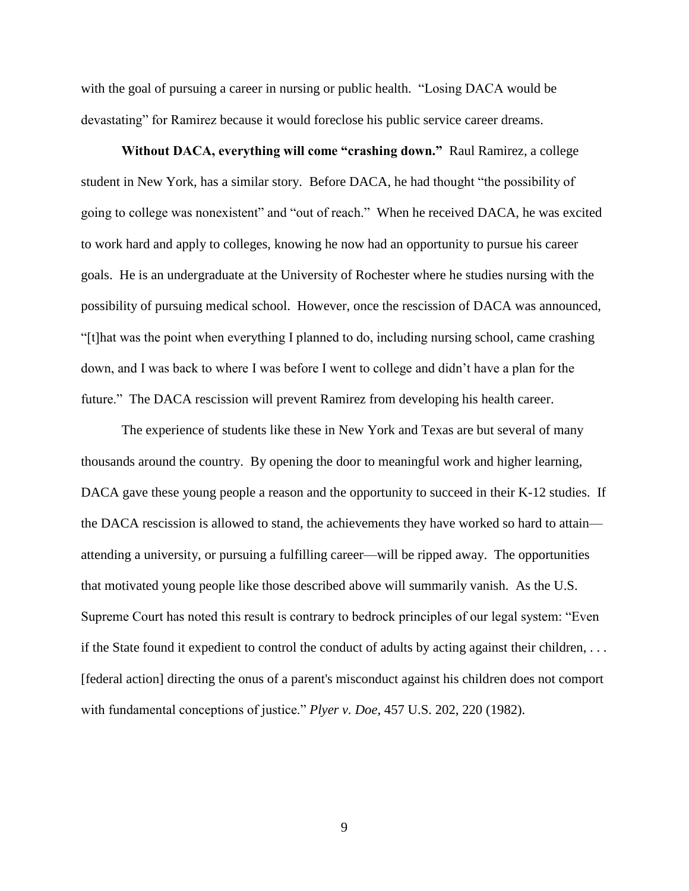with the goal of pursuing a career in nursing or public health. "Losing DACA would be devastating" for Ramirez because it would foreclose his public service career dreams.

**Without DACA, everything will come "crashing down."** Raul Ramirez, a college student in New York, has a similar story. Before DACA, he had thought "the possibility of going to college was nonexistent" and "out of reach." When he received DACA, he was excited to work hard and apply to colleges, knowing he now had an opportunity to pursue his career goals. He is an undergraduate at the University of Rochester where he studies nursing with the possibility of pursuing medical school. However, once the rescission of DACA was announced, ―[t]hat was the point when everything I planned to do, including nursing school, came crashing down, and I was back to where I was before I went to college and didn't have a plan for the future." The DACA rescission will prevent Ramirez from developing his health career.

The experience of students like these in New York and Texas are but several of many thousands around the country. By opening the door to meaningful work and higher learning, DACA gave these young people a reason and the opportunity to succeed in their K-12 studies. If the DACA rescission is allowed to stand, the achievements they have worked so hard to attain attending a university, or pursuing a fulfilling career—will be ripped away. The opportunities that motivated young people like those described above will summarily vanish. As the U.S. Supreme Court has noted this result is contrary to bedrock principles of our legal system: "Even" if the State found it expedient to control the conduct of adults by acting against their children, . . . [federal action] directing the onus of a parent's misconduct against his children does not comport with fundamental conceptions of justice." *Plyer v. Doe*, 457 U.S. 202, 220 (1982).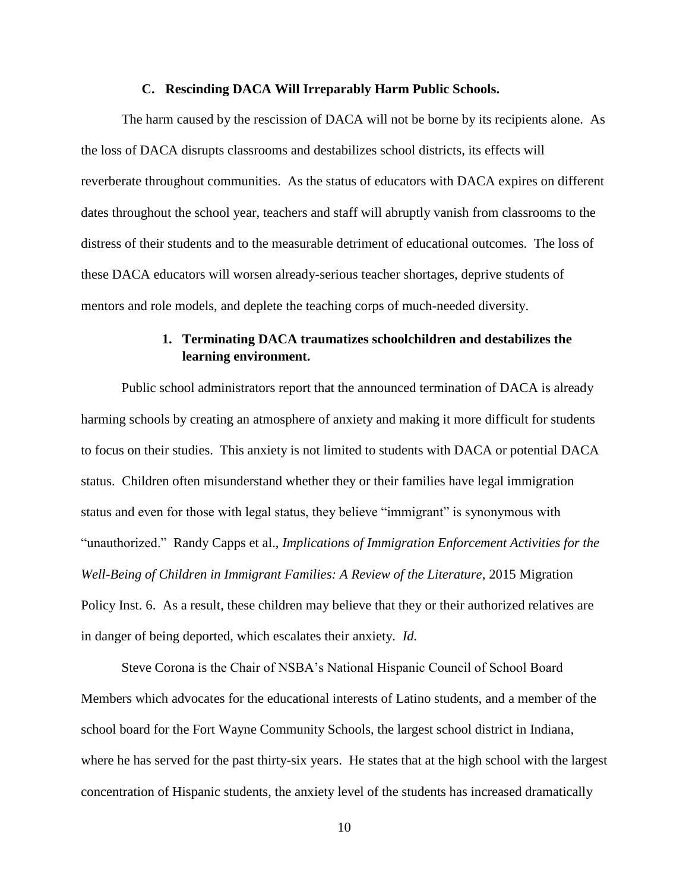#### <span id="page-13-0"></span>**C. Rescinding DACA Will Irreparably Harm Public Schools.**

The harm caused by the rescission of DACA will not be borne by its recipients alone. As the loss of DACA disrupts classrooms and destabilizes school districts, its effects will reverberate throughout communities. As the status of educators with DACA expires on different dates throughout the school year, teachers and staff will abruptly vanish from classrooms to the distress of their students and to the measurable detriment of educational outcomes. The loss of these DACA educators will worsen already-serious teacher shortages, deprive students of mentors and role models, and deplete the teaching corps of much-needed diversity.

## **1. Terminating DACA traumatizes schoolchildren and destabilizes the learning environment.**

<span id="page-13-1"></span>Public school administrators report that the announced termination of DACA is already harming schools by creating an atmosphere of anxiety and making it more difficult for students to focus on their studies. This anxiety is not limited to students with DACA or potential DACA status. Children often misunderstand whether they or their families have legal immigration status and even for those with legal status, they believe "immigrant" is synonymous with ―unauthorized.‖ Randy Capps et al., *Implications of Immigration Enforcement Activities for the Well-Being of Children in Immigrant Families: A Review of the Literature*, 2015 Migration Policy Inst. 6. As a result, these children may believe that they or their authorized relatives are in danger of being deported, which escalates their anxiety. *Id.*

Steve Corona is the Chair of NSBA's National Hispanic Council of School Board Members which advocates for the educational interests of Latino students, and a member of the school board for the Fort Wayne Community Schools, the largest school district in Indiana, where he has served for the past thirty-six years. He states that at the high school with the largest concentration of Hispanic students, the anxiety level of the students has increased dramatically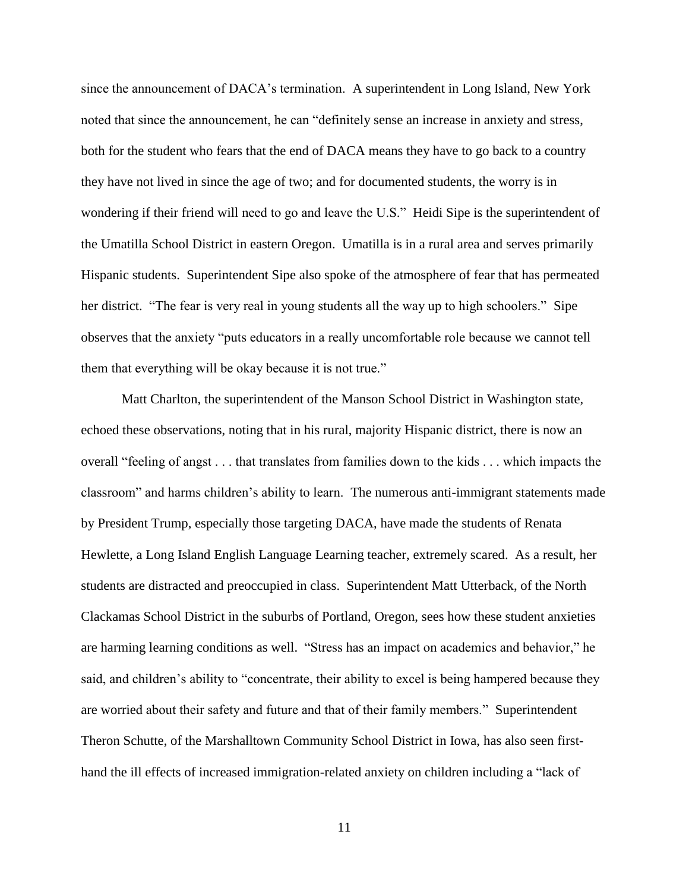since the announcement of DACA's termination. A superintendent in Long Island, New York noted that since the announcement, he can "definitely sense an increase in anxiety and stress, both for the student who fears that the end of DACA means they have to go back to a country they have not lived in since the age of two; and for documented students, the worry is in wondering if their friend will need to go and leave the U.S." Heidi Sipe is the superintendent of the Umatilla School District in eastern Oregon. Umatilla is in a rural area and serves primarily Hispanic students. Superintendent Sipe also spoke of the atmosphere of fear that has permeated her district. "The fear is very real in young students all the way up to high schoolers." Sipe observes that the anxiety "puts educators in a really uncomfortable role because we cannot tell them that everything will be okay because it is not true."

Matt Charlton, the superintendent of the Manson School District in Washington state, echoed these observations, noting that in his rural, majority Hispanic district, there is now an overall "feeling of angst . . . that translates from families down to the kids . . . which impacts the classroom" and harms children's ability to learn. The numerous anti-immigrant statements made by President Trump, especially those targeting DACA, have made the students of Renata Hewlette, a Long Island English Language Learning teacher, extremely scared. As a result, her students are distracted and preoccupied in class. Superintendent Matt Utterback, of the North Clackamas School District in the suburbs of Portland, Oregon, sees how these student anxieties are harming learning conditions as well. "Stress has an impact on academics and behavior," he said, and children's ability to "concentrate, their ability to excel is being hampered because they are worried about their safety and future and that of their family members." Superintendent Theron Schutte, of the Marshalltown Community School District in Iowa, has also seen firsthand the ill effects of increased immigration-related anxiety on children including a "lack of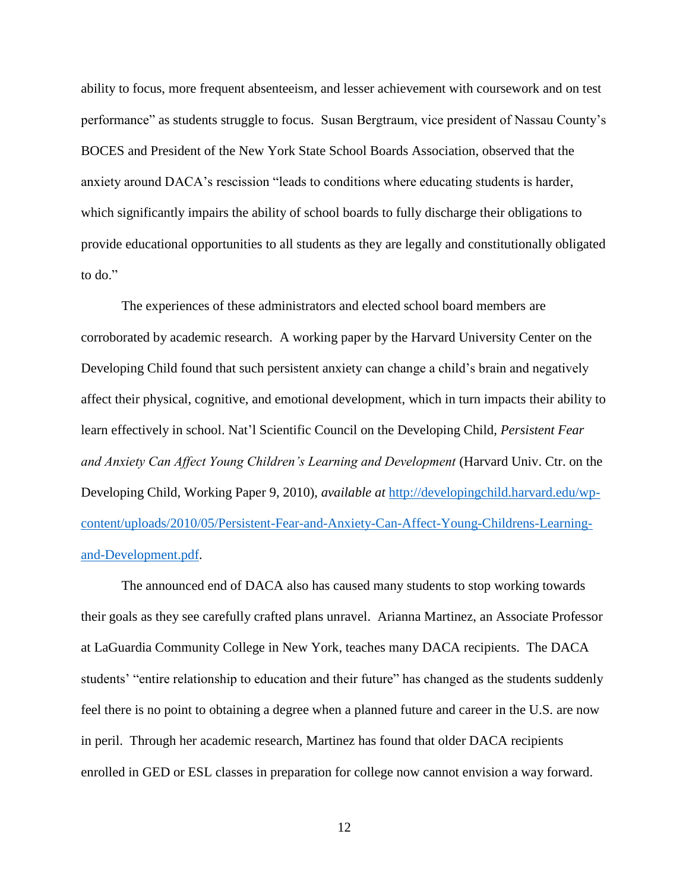ability to focus, more frequent absenteeism, and lesser achievement with coursework and on test performance" as students struggle to focus. Susan Bergtraum, vice president of Nassau County's BOCES and President of the New York State School Boards Association, observed that the anxiety around DACA's rescission "leads to conditions where educating students is harder, which significantly impairs the ability of school boards to fully discharge their obligations to provide educational opportunities to all students as they are legally and constitutionally obligated to do."

The experiences of these administrators and elected school board members are corroborated by academic research. A working paper by the Harvard University Center on the Developing Child found that such persistent anxiety can change a child's brain and negatively affect their physical, cognitive, and emotional development, which in turn impacts their ability to learn effectively in school. Nat'l Scientific Council on the Developing Child, *Persistent Fear and Anxiety Can Affect Young Children's Learning and Development* (Harvard Univ. Ctr. on the Developing Child, Working Paper 9, 2010), *available at* [http://developingchild.harvard.edu/wp](http://developingchild.harvard.edu/wp-content/uploads/2010/05/Persistent-Fear-and-Anxiety-Can-Affect-Young-Childrens-Learning-and-Development.pdf)[content/uploads/2010/05/Persistent-Fear-and-Anxiety-Can-Affect-Young-Childrens-Learning](http://developingchild.harvard.edu/wp-content/uploads/2010/05/Persistent-Fear-and-Anxiety-Can-Affect-Young-Childrens-Learning-and-Development.pdf)[and-Development.pdf.](http://developingchild.harvard.edu/wp-content/uploads/2010/05/Persistent-Fear-and-Anxiety-Can-Affect-Young-Childrens-Learning-and-Development.pdf)

The announced end of DACA also has caused many students to stop working towards their goals as they see carefully crafted plans unravel. Arianna Martinez, an Associate Professor at LaGuardia Community College in New York, teaches many DACA recipients. The DACA students' "entire relationship to education and their future" has changed as the students suddenly feel there is no point to obtaining a degree when a planned future and career in the U.S. are now in peril. Through her academic research, Martinez has found that older DACA recipients enrolled in GED or ESL classes in preparation for college now cannot envision a way forward.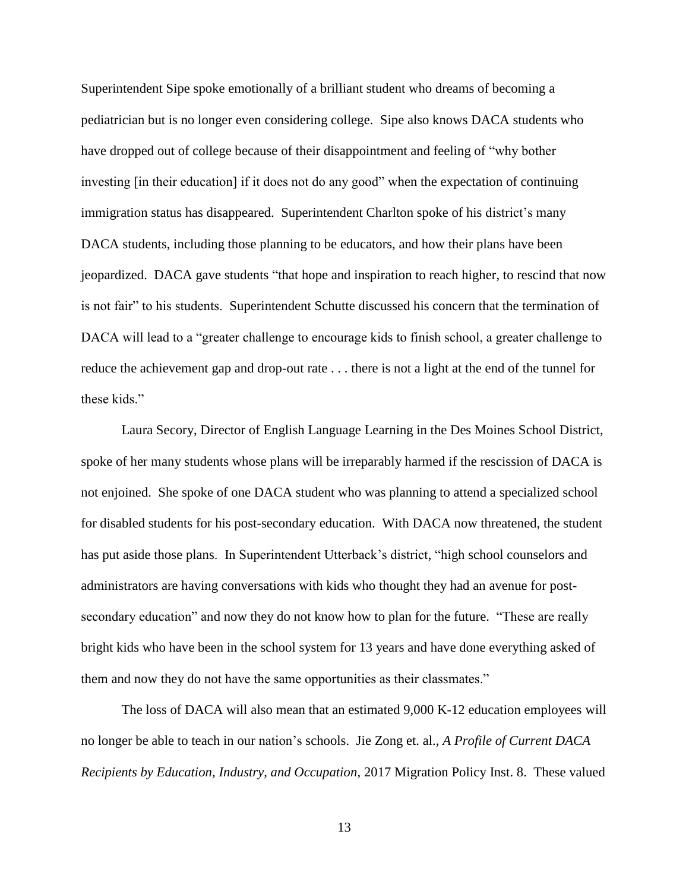Superintendent Sipe spoke emotionally of a brilliant student who dreams of becoming a pediatrician but is no longer even considering college. Sipe also knows DACA students who have dropped out of college because of their disappointment and feeling of "why bother" investing [in their education] if it does not do any good" when the expectation of continuing immigration status has disappeared. Superintendent Charlton spoke of his district's many DACA students, including those planning to be educators, and how their plans have been jeopardized. DACA gave students "that hope and inspiration to reach higher, to rescind that now is not fair" to his students. Superintendent Schutte discussed his concern that the termination of DACA will lead to a "greater challenge to encourage kids to finish school, a greater challenge to reduce the achievement gap and drop-out rate . . . there is not a light at the end of the tunnel for these kids."

Laura Secory, Director of English Language Learning in the Des Moines School District, spoke of her many students whose plans will be irreparably harmed if the rescission of DACA is not enjoined. She spoke of one DACA student who was planning to attend a specialized school for disabled students for his post-secondary education. With DACA now threatened, the student has put aside those plans. In Superintendent Utterback's district, "high school counselors and administrators are having conversations with kids who thought they had an avenue for postsecondary education" and now they do not know how to plan for the future. "These are really bright kids who have been in the school system for 13 years and have done everything asked of them and now they do not have the same opportunities as their classmates."

The loss of DACA will also mean that an estimated 9,000 K-12 education employees will no longer be able to teach in our nation's schools. Jie Zong et. al., *A Profile of Current DACA Recipients by Education, Industry, and Occupation*, 2017 Migration Policy Inst. 8. These valued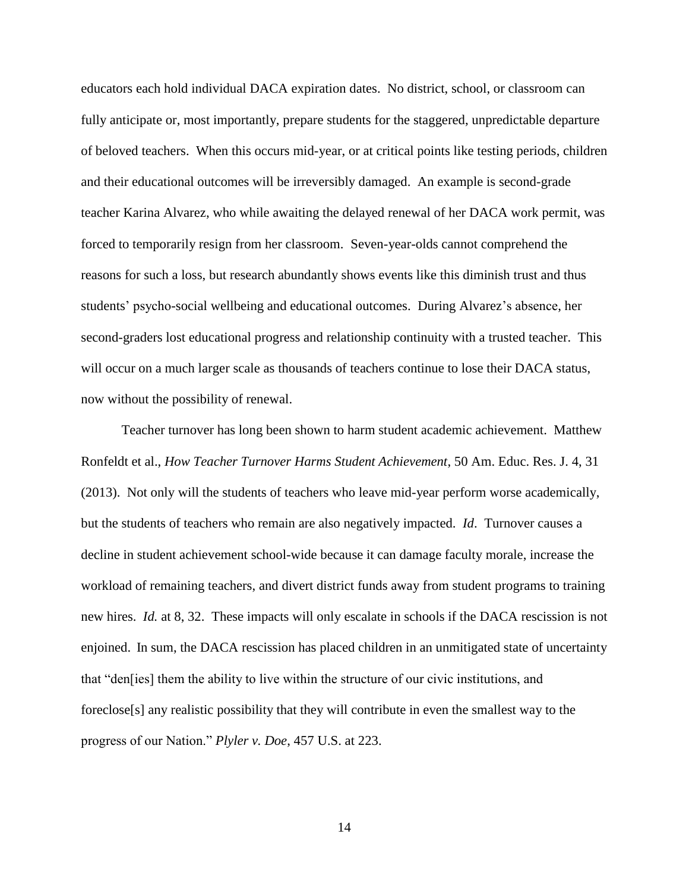educators each hold individual DACA expiration dates. No district, school, or classroom can fully anticipate or, most importantly, prepare students for the staggered, unpredictable departure of beloved teachers. When this occurs mid-year, or at critical points like testing periods, children and their educational outcomes will be irreversibly damaged. An example is second-grade teacher Karina Alvarez, who while awaiting the delayed renewal of her DACA work permit, was forced to temporarily resign from her classroom. Seven-year-olds cannot comprehend the reasons for such a loss, but research abundantly shows events like this diminish trust and thus students' psycho-social wellbeing and educational outcomes. During Alvarez's absence, her second-graders lost educational progress and relationship continuity with a trusted teacher. This will occur on a much larger scale as thousands of teachers continue to lose their DACA status, now without the possibility of renewal.

Teacher turnover has long been shown to harm student academic achievement. Matthew Ronfeldt et al., *How Teacher Turnover Harms Student Achievement*, 50 Am. Educ. Res. J. 4, 31 (2013). Not only will the students of teachers who leave mid-year perform worse academically, but the students of teachers who remain are also negatively impacted. *Id*. Turnover causes a decline in student achievement school-wide because it can damage faculty morale, increase the workload of remaining teachers, and divert district funds away from student programs to training new hires. *Id.* at 8, 32. These impacts will only escalate in schools if the DACA rescission is not enjoined. In sum, the DACA rescission has placed children in an unmitigated state of uncertainty that "den[ies] them the ability to live within the structure of our civic institutions, and foreclose[s] any realistic possibility that they will contribute in even the smallest way to the progress of our Nation.‖ *Plyler v. Doe*, 457 U.S. at 223.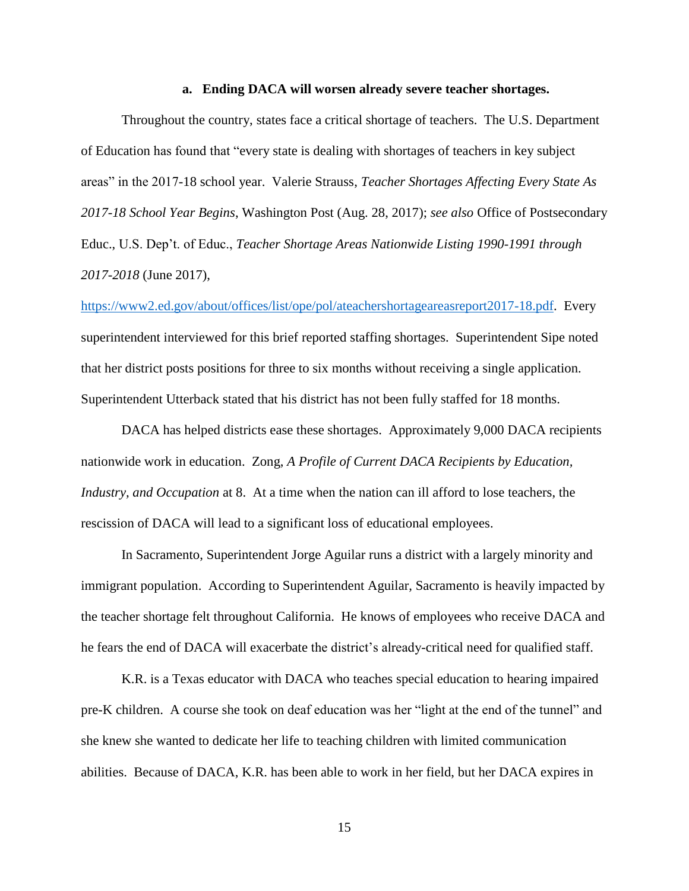### **a. Ending DACA will worsen already severe teacher shortages.**

<span id="page-18-0"></span>Throughout the country, states face a critical shortage of teachers. The U.S. Department of Education has found that "every state is dealing with shortages of teachers in key subject areas‖ in the 2017-18 school year. Valerie Strauss, *Teacher Shortages Affecting Every State As 2017-18 School Year Begins*, Washington Post (Aug. 28, 2017); *see also* Office of Postsecondary Educ., U.S. Dep't. of Educ., *Teacher Shortage Areas Nationwide Listing 1990-1991 through 2017-2018* (June 2017),

[https://www2.ed.gov/about/offices/list/ope/pol/ateachershortageareasreport2017-18.pdf.](https://www2.ed.gov/about/offices/list/ope/pol/ateachershortageareasreport2017-18.pdf) Every superintendent interviewed for this brief reported staffing shortages. Superintendent Sipe noted that her district posts positions for three to six months without receiving a single application. Superintendent Utterback stated that his district has not been fully staffed for 18 months.

DACA has helped districts ease these shortages. Approximately 9,000 DACA recipients nationwide work in education. Zong, *A Profile of Current DACA Recipients by Education, Industry, and Occupation* at 8. At a time when the nation can ill afford to lose teachers, the rescission of DACA will lead to a significant loss of educational employees.

In Sacramento, Superintendent Jorge Aguilar runs a district with a largely minority and immigrant population. According to Superintendent Aguilar, Sacramento is heavily impacted by the teacher shortage felt throughout California. He knows of employees who receive DACA and he fears the end of DACA will exacerbate the district's already-critical need for qualified staff.

K.R. is a Texas educator with DACA who teaches special education to hearing impaired pre-K children. A course she took on deaf education was her "light at the end of the tunnel" and she knew she wanted to dedicate her life to teaching children with limited communication abilities. Because of DACA, K.R. has been able to work in her field, but her DACA expires in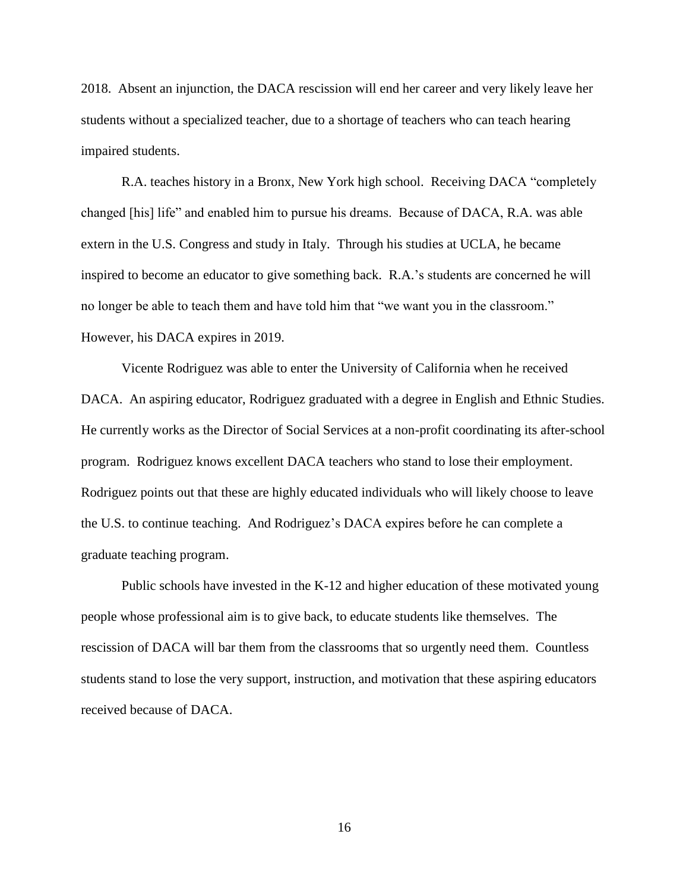2018. Absent an injunction, the DACA rescission will end her career and very likely leave her students without a specialized teacher, due to a shortage of teachers who can teach hearing impaired students.

R.A. teaches history in a Bronx, New York high school. Receiving DACA "completely changed [his] life" and enabled him to pursue his dreams. Because of DACA, R.A. was able extern in the U.S. Congress and study in Italy. Through his studies at UCLA, he became inspired to become an educator to give something back. R.A.'s students are concerned he will no longer be able to teach them and have told him that "we want you in the classroom." However, his DACA expires in 2019.

Vicente Rodriguez was able to enter the University of California when he received DACA. An aspiring educator, Rodriguez graduated with a degree in English and Ethnic Studies. He currently works as the Director of Social Services at a non-profit coordinating its after-school program. Rodriguez knows excellent DACA teachers who stand to lose their employment. Rodriguez points out that these are highly educated individuals who will likely choose to leave the U.S. to continue teaching. And Rodriguez's DACA expires before he can complete a graduate teaching program.

Public schools have invested in the K-12 and higher education of these motivated young people whose professional aim is to give back, to educate students like themselves. The rescission of DACA will bar them from the classrooms that so urgently need them. Countless students stand to lose the very support, instruction, and motivation that these aspiring educators received because of DACA.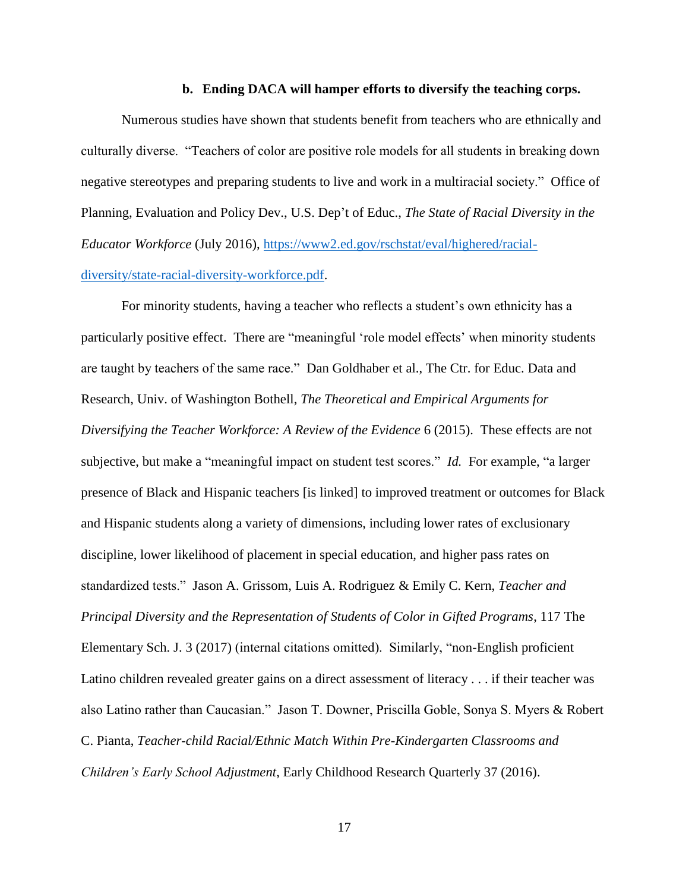### **b. Ending DACA will hamper efforts to diversify the teaching corps.**

<span id="page-20-0"></span>Numerous studies have shown that students benefit from teachers who are ethnically and culturally diverse. ―Teachers of color are positive role models for all students in breaking down negative stereotypes and preparing students to live and work in a multiracial society." Office of Planning, Evaluation and Policy Dev., U.S. Dep't of Educ., *The State of Racial Diversity in the Educator Workforce* (July 2016), [https://www2.ed.gov/rschstat/eval/highered/racial](https://www2.ed.gov/rschstat/eval/highered/racial-diversity/state-racial-diversity-workforce.pdf)[diversity/state-racial-diversity-workforce.pdf.](https://www2.ed.gov/rschstat/eval/highered/racial-diversity/state-racial-diversity-workforce.pdf)

For minority students, having a teacher who reflects a student's own ethnicity has a particularly positive effect. There are "meaningful 'role model effects' when minority students are taught by teachers of the same race." Dan Goldhaber et al., The Ctr. for Educ. Data and Research, Univ. of Washington Bothell, *The Theoretical and Empirical Arguments for Diversifying the Teacher Workforce: A Review of the Evidence* 6 (2015). These effects are not subjective, but make a "meaningful impact on student test scores." *Id.* For example, "a larger presence of Black and Hispanic teachers [is linked] to improved treatment or outcomes for Black and Hispanic students along a variety of dimensions, including lower rates of exclusionary discipline, lower likelihood of placement in special education, and higher pass rates on standardized tests.‖ Jason A. Grissom, Luis A. Rodriguez & Emily C. Kern, *Teacher and Principal Diversity and the Representation of Students of Color in Gifted Programs*, 117 The Elementary Sch. J. 3 (2017) (internal citations omitted). Similarly, "non-English proficient Latino children revealed greater gains on a direct assessment of literacy . . . if their teacher was also Latino rather than Caucasian." Jason T. Downer, Priscilla Goble, Sonya S. Myers & Robert C. Pianta, *Teacher-child Racial/Ethnic Match Within Pre-Kindergarten Classrooms and Children's Early School Adjustment*, Early Childhood Research Quarterly 37 (2016).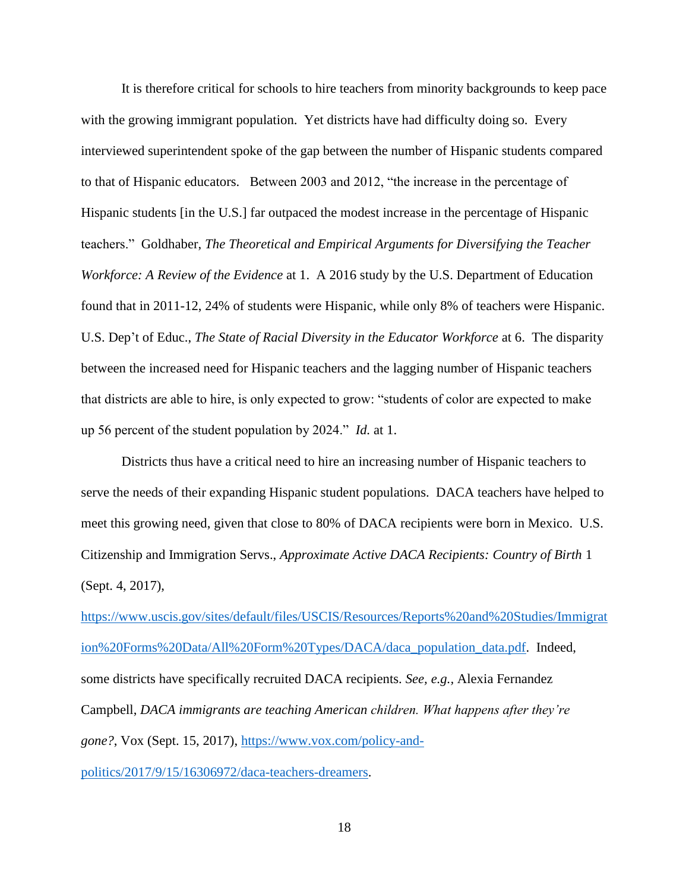It is therefore critical for schools to hire teachers from minority backgrounds to keep pace with the growing immigrant population. Yet districts have had difficulty doing so. Every interviewed superintendent spoke of the gap between the number of Hispanic students compared to that of Hispanic educators. Between 2003 and 2012, "the increase in the percentage of Hispanic students [in the U.S.] far outpaced the modest increase in the percentage of Hispanic teachers.‖ Goldhaber, *The Theoretical and Empirical Arguments for Diversifying the Teacher Workforce: A Review of the Evidence* at 1. A 2016 study by the U.S. Department of Education found that in 2011-12, 24% of students were Hispanic, while only 8% of teachers were Hispanic. U.S. Dep't of Educ., *The State of Racial Diversity in the Educator Workforce* at 6. The disparity between the increased need for Hispanic teachers and the lagging number of Hispanic teachers that districts are able to hire, is only expected to grow: "students of color are expected to make up 56 percent of the student population by 2024." *Id.* at 1.

Districts thus have a critical need to hire an increasing number of Hispanic teachers to serve the needs of their expanding Hispanic student populations. DACA teachers have helped to meet this growing need, given that close to 80% of DACA recipients were born in Mexico. U.S. Citizenship and Immigration Servs., *Approximate Active DACA Recipients: Country of Birth* 1 (Sept. 4, 2017),

[https://www.uscis.gov/sites/default/files/USCIS/Resources/Reports%20and%20Studies/Immigrat](https://www.uscis.gov/sites/default/files/USCIS/Resources/Reports%20and%20Studies/Immigration%20Forms%20Data/All%20Form%20Types/DACA/daca_population_data.pdf) [ion%20Forms%20Data/All%20Form%20Types/DACA/daca\\_population\\_data.pdf.](https://www.uscis.gov/sites/default/files/USCIS/Resources/Reports%20and%20Studies/Immigration%20Forms%20Data/All%20Form%20Types/DACA/daca_population_data.pdf) Indeed, some districts have specifically recruited DACA recipients. *See, e.g.,* Alexia Fernandez Campbell, *DACA immigrants are teaching American children. What happens after they're gone?*, Vox (Sept. 15, 2017), [https://www.vox.com/policy-and](https://www.vox.com/policy-and-politics/2017/9/15/16306972/daca-teachers-dreamers)[politics/2017/9/15/16306972/daca-teachers-dreamers.](https://www.vox.com/policy-and-politics/2017/9/15/16306972/daca-teachers-dreamers)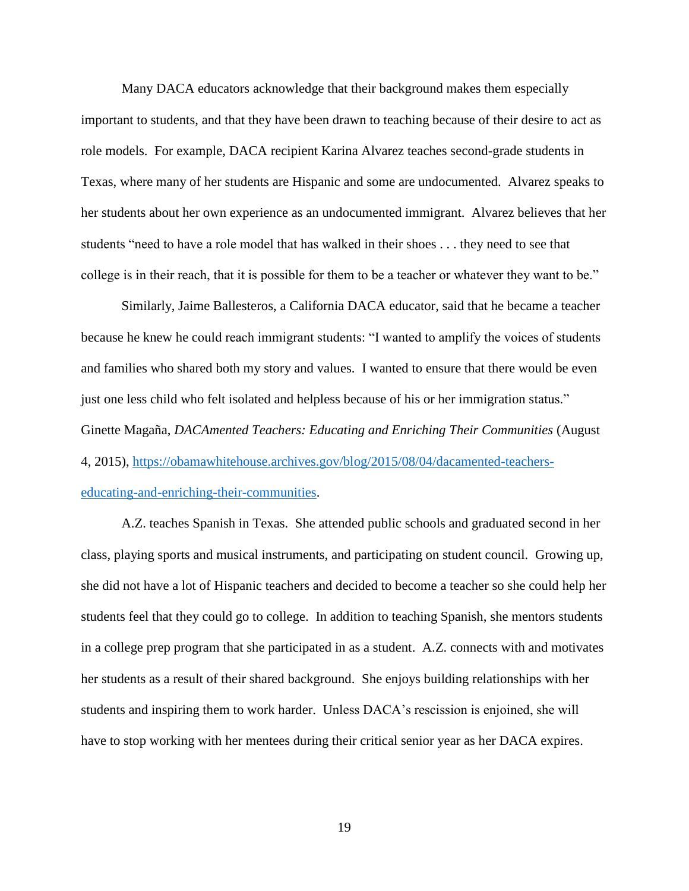Many DACA educators acknowledge that their background makes them especially important to students, and that they have been drawn to teaching because of their desire to act as role models. For example, DACA recipient Karina Alvarez teaches second-grade students in Texas, where many of her students are Hispanic and some are undocumented. Alvarez speaks to her students about her own experience as an undocumented immigrant. Alvarez believes that her students "need to have a role model that has walked in their shoes . . . they need to see that college is in their reach, that it is possible for them to be a teacher or whatever they want to be."

Similarly, Jaime Ballesteros, a California DACA educator, said that he became a teacher because he knew he could reach immigrant students: "I wanted to amplify the voices of students and families who shared both my story and values. I wanted to ensure that there would be even just one less child who felt isolated and helpless because of his or her immigration status." Ginette Magaña, *DACAmented Teachers: Educating and Enriching Their Communities* (August 4, 2015), [https://obamawhitehouse.archives.gov/blog/2015/08/04/dacamented-teachers](https://obamawhitehouse.archives.gov/blog/2015/08/04/dacamented-teachers-educating-and-enriching-their-communities)[educating-and-enriching-their-communities.](https://obamawhitehouse.archives.gov/blog/2015/08/04/dacamented-teachers-educating-and-enriching-their-communities)

A.Z. teaches Spanish in Texas. She attended public schools and graduated second in her class, playing sports and musical instruments, and participating on student council. Growing up, she did not have a lot of Hispanic teachers and decided to become a teacher so she could help her students feel that they could go to college. In addition to teaching Spanish, she mentors students in a college prep program that she participated in as a student. A.Z. connects with and motivates her students as a result of their shared background. She enjoys building relationships with her students and inspiring them to work harder. Unless DACA's rescission is enjoined, she will have to stop working with her mentees during their critical senior year as her DACA expires.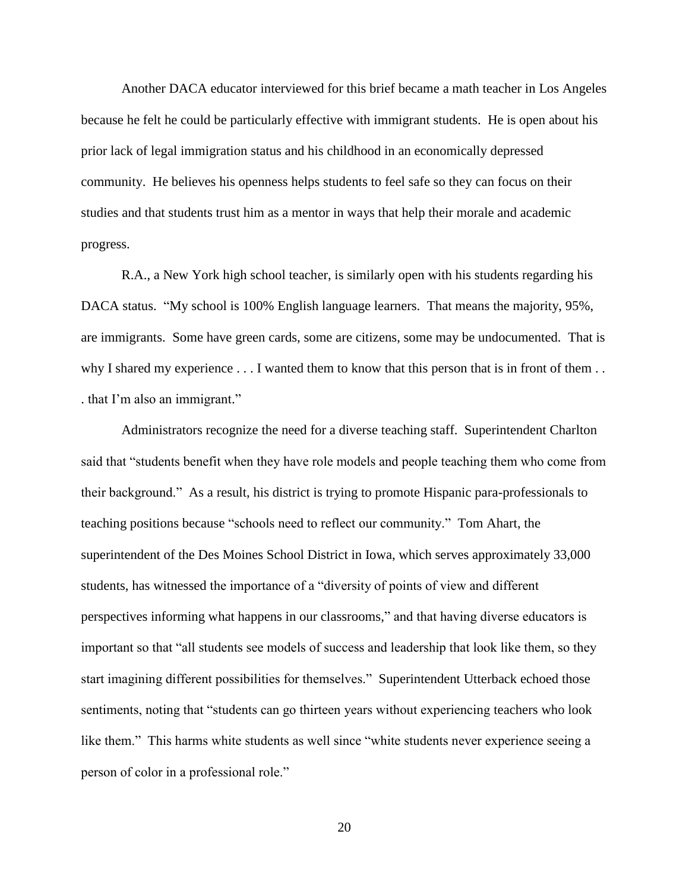Another DACA educator interviewed for this brief became a math teacher in Los Angeles because he felt he could be particularly effective with immigrant students. He is open about his prior lack of legal immigration status and his childhood in an economically depressed community. He believes his openness helps students to feel safe so they can focus on their studies and that students trust him as a mentor in ways that help their morale and academic progress.

R.A., a New York high school teacher, is similarly open with his students regarding his DACA status. "My school is 100% English language learners. That means the majority, 95%, are immigrants. Some have green cards, some are citizens, some may be undocumented. That is why I shared my experience . . . I wanted them to know that this person that is in front of them . . . . that I'm also an immigrant."

Administrators recognize the need for a diverse teaching staff. Superintendent Charlton said that "students benefit when they have role models and people teaching them who come from their background.‖ As a result, his district is trying to promote Hispanic para-professionals to teaching positions because "schools need to reflect our community." Tom Ahart, the superintendent of the Des Moines School District in Iowa, which serves approximately 33,000 students, has witnessed the importance of a "diversity of points of view and different perspectives informing what happens in our classrooms," and that having diverse educators is important so that "all students see models of success and leadership that look like them, so they start imagining different possibilities for themselves." Superintendent Utterback echoed those sentiments, noting that "students can go thirteen years without experiencing teachers who look like them." This harms white students as well since "white students never experience seeing a person of color in a professional role."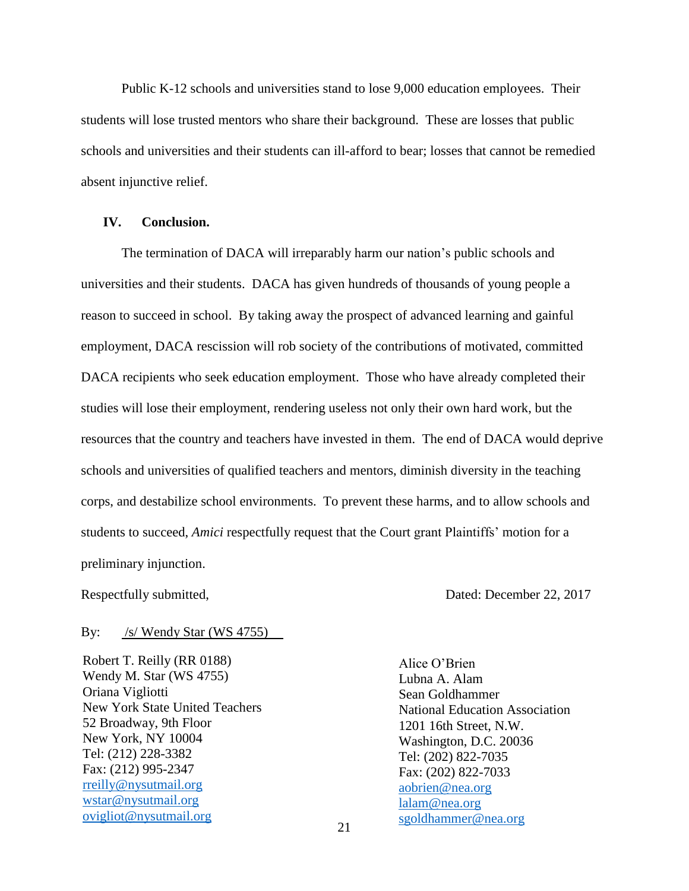Public K-12 schools and universities stand to lose 9,000 education employees. Their students will lose trusted mentors who share their background. These are losses that public schools and universities and their students can ill-afford to bear; losses that cannot be remedied absent injunctive relief.

### <span id="page-24-0"></span>**IV. Conclusion.**

The termination of DACA will irreparably harm our nation's public schools and universities and their students. DACA has given hundreds of thousands of young people a reason to succeed in school. By taking away the prospect of advanced learning and gainful employment, DACA rescission will rob society of the contributions of motivated, committed DACA recipients who seek education employment. Those who have already completed their studies will lose their employment, rendering useless not only their own hard work, but the resources that the country and teachers have invested in them. The end of DACA would deprive schools and universities of qualified teachers and mentors, diminish diversity in the teaching corps, and destabilize school environments. To prevent these harms, and to allow schools and students to succeed, *Amici* respectfully request that the Court grant Plaintiffs' motion for a preliminary injunction.

Respectfully submitted, Dated: December 22, 2017

#### By: /s/ Wendy Star (WS 4755)

Robert T. Reilly (RR 0188) Wendy M. Star (WS 4755) Oriana Vigliotti New York State United Teachers 52 Broadway, 9th Floor New York, NY 10004 Tel: (212) 228-3382 Fax: (212) 995-2347 [rreilly@nysutmail.org](mailto:rreilly@nysutmail.org) [wstar@nysutmail.org](mailto:wstar@nysutmail.org) [ovigliot@nysutmail.org](mailto:ovigliot@nysutmail.org)

Alice O'Brien Lubna A. Alam Sean Goldhammer National Education Association 1201 16th Street, N.W. Washington, D.C. 20036 Tel: (202) 822-7035 Fax: (202) 822-7033 [aobrien@nea.org](mailto:aobrien@nea.org) [lalam@nea.org](mailto:lalam@nea.org) [sgoldhammer@nea.org](mailto:sgoldhammer@nea.org)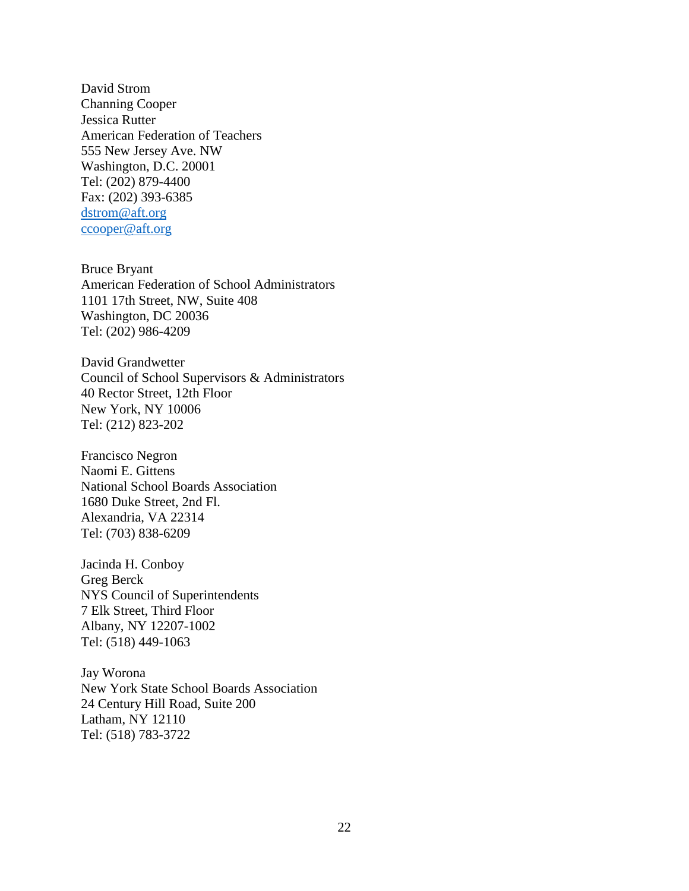David Strom Channing Cooper Jessica Rutter American Federation of Teachers 555 New Jersey Ave. NW Washington, D.C. 20001 Tel: (202) 879-4400 Fax: (202) 393-6385 [dstrom@aft.org](mailto:dstrom@aft.org) [ccooper@aft.org](mailto:ccooper@aft.org)

Bruce Bryant American Federation of School Administrators 1101 17th Street, NW, Suite 408 Washington, DC 20036 Tel: (202) 986-4209

David Grandwetter Council of School Supervisors & Administrators 40 Rector Street, 12th Floor New York, NY 10006 Tel: (212) 823-202

Francisco Negron Naomi E. Gittens National School Boards Association 1680 Duke Street, 2nd Fl. Alexandria, VA 22314 Tel: (703) 838-6209

Jacinda H. Conboy Greg Berck NYS Council of Superintendents 7 Elk Street, Third Floor Albany, NY 12207-1002 Tel: (518) 449-1063

Jay Worona New York State School Boards Association 24 Century Hill Road, Suite 200 Latham, NY 12110 Tel: (518) 783-3722